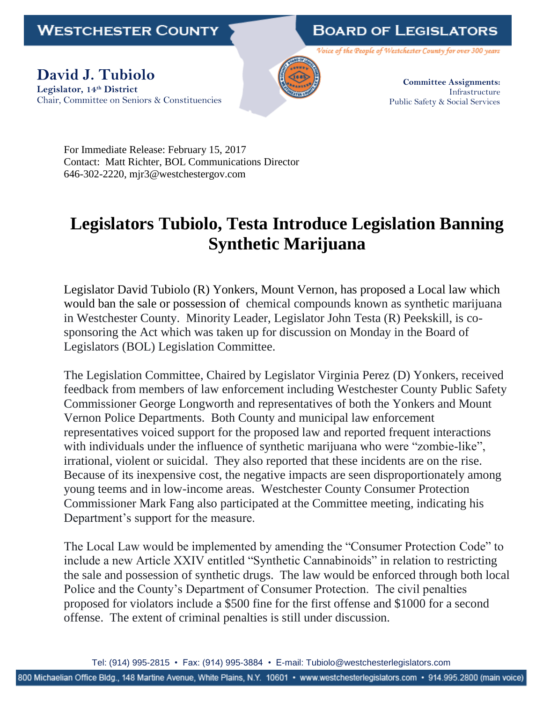**WESTCHESTER COUNTY** 

## **BOARD OF LEGISLATORS**

Voice of the People of Westchester County for over 300 years

**David J. Tubiolo Legislator, 14th District** Chair, Committee on Seniors & Constituencies



**Committee Assignments:** Infrastructure Public Safety & Social Services

For Immediate Release: February 15, 2017 Contact: Matt Richter, BOL Communications Director 646-302-2220, mjr3@westchestergov.com

## **Legislators Tubiolo, Testa Introduce Legislation Banning Synthetic Marijuana**

Legislator David Tubiolo (R) Yonkers, Mount Vernon, has proposed a Local law which would ban the sale or possession of chemical compounds known as synthetic marijuana in Westchester County. Minority Leader, Legislator John Testa (R) Peekskill, is cosponsoring the Act which was taken up for discussion on Monday in the Board of Legislators (BOL) Legislation Committee.

The Legislation Committee, Chaired by Legislator Virginia Perez (D) Yonkers, received feedback from members of law enforcement including Westchester County Public Safety Commissioner George Longworth and representatives of both the Yonkers and Mount Vernon Police Departments. Both County and municipal law enforcement representatives voiced support for the proposed law and reported frequent interactions with individuals under the influence of synthetic marijuana who were "zombie-like", irrational, violent or suicidal. They also reported that these incidents are on the rise. Because of its inexpensive cost, the negative impacts are seen disproportionately among young teems and in low-income areas. Westchester County Consumer Protection Commissioner Mark Fang also participated at the Committee meeting, indicating his Department's support for the measure.

The Local Law would be implemented by amending the "Consumer Protection Code" to include a new Article XXIV entitled "Synthetic Cannabinoids" in relation to restricting the sale and possession of synthetic drugs. The law would be enforced through both local Police and the County's Department of Consumer Protection. The civil penalties proposed for violators include a \$500 fine for the first offense and \$1000 for a second offense. The extent of criminal penalties is still under discussion.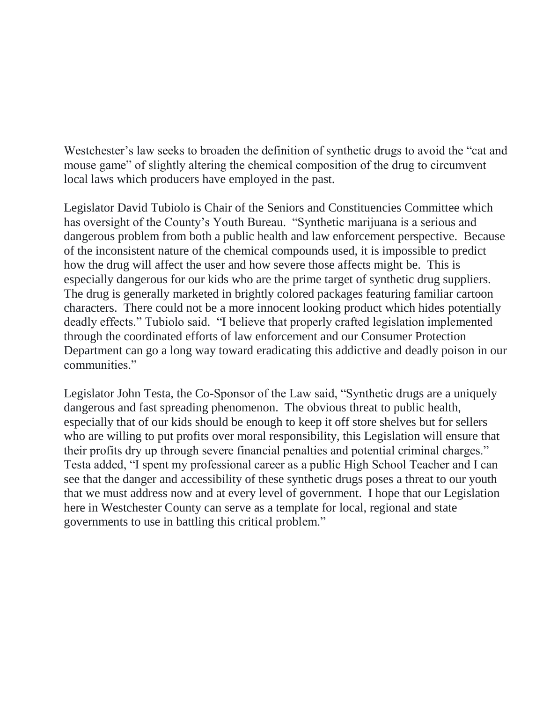Westchester's law seeks to broaden the definition of synthetic drugs to avoid the "cat and mouse game" of slightly altering the chemical composition of the drug to circumvent local laws which producers have employed in the past.

Legislator David Tubiolo is Chair of the Seniors and Constituencies Committee which has oversight of the County's Youth Bureau. "Synthetic marijuana is a serious and dangerous problem from both a public health and law enforcement perspective. Because of the inconsistent nature of the chemical compounds used, it is impossible to predict how the drug will affect the user and how severe those affects might be. This is especially dangerous for our kids who are the prime target of synthetic drug suppliers. The drug is generally marketed in brightly colored packages featuring familiar cartoon characters. There could not be a more innocent looking product which hides potentially deadly effects." Tubiolo said. "I believe that properly crafted legislation implemented through the coordinated efforts of law enforcement and our Consumer Protection Department can go a long way toward eradicating this addictive and deadly poison in our communities."

Legislator John Testa, the Co-Sponsor of the Law said, "Synthetic drugs are a uniquely dangerous and fast spreading phenomenon. The obvious threat to public health, especially that of our kids should be enough to keep it off store shelves but for sellers who are willing to put profits over moral responsibility, this Legislation will ensure that their profits dry up through severe financial penalties and potential criminal charges." Testa added, "I spent my professional career as a public High School Teacher and I can see that the danger and accessibility of these synthetic drugs poses a threat to our youth that we must address now and at every level of government. I hope that our Legislation here in Westchester County can serve as a template for local, regional and state governments to use in battling this critical problem."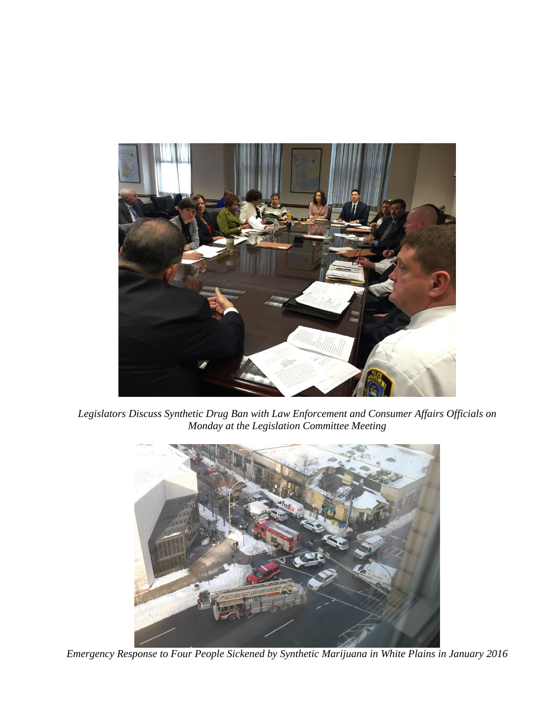

*Legislators Discuss Synthetic Drug Ban with Law Enforcement and Consumer Affairs Officials on Monday at the Legislation Committee Meeting*



*Emergency Response to Four People Sickened by Synthetic Marijuana in White Plains in January 2016*